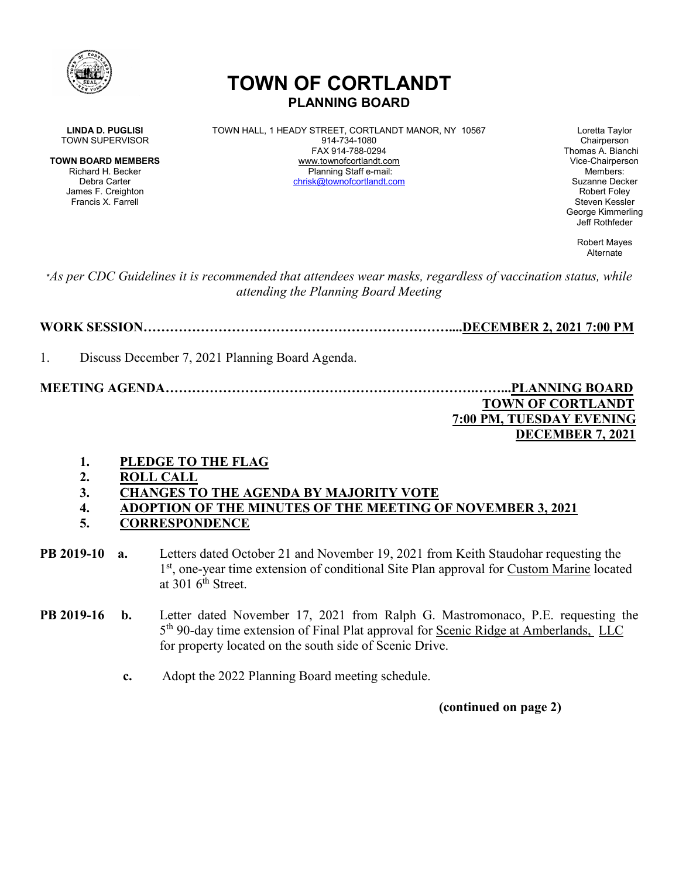

# **TOWN OF CORTLANDT PLANNING BOARD**

James F. Creighton Francis X. Farrell Steven Kessler New York 1999, Steven Kessler New York 1999, Steven Kessler

**LINDA D. PUGLISI** TOWN HALL, 1 HEADY STREET, CORTLANDT MANOR, NY 10567 Loretta Taylor<br>Town SUPERVISOR Chairperson 914-734-1080 TOWN SUPERVISOR 814-734-1080<br>FAX 914-788-0294 **TOWN BOARD MEMBERS** www.townofcortlandt.com www.townofcontlandt.com Vice-Chairperson<br>Richard H. Becker **Blanning Staff e-mail** Richard H. Becker Planning Staff e-mail: Members: Debra Carter [chrisk@townofcortlandt.com](mailto:chrisk@townofcortlandt.com) Suzanne Decker

Thomas A. Bianchi George Kimmerling Jeff Rothfeder

> Robert Mayes Alternate

\**As per CDC Guidelines it is recommended that attendees wear masks, regardless of vaccination status, while attending the Planning Board Meeting*

**WORK SESSION……………………………………………………………....DECEMBER 2, 2021 7:00 PM**

1. Discuss December 7, 2021 Planning Board Agenda.

**MEETING AGENDA…………………………………………………………….……...PLANNING BOARD TOWN OF CORTLANDT 7:00 PM, TUESDAY EVENING**

## **DECEMBER 7, 2021**

- **1. PLEDGE TO THE FLAG**
- **2. ROLL CALL**
- **3. CHANGES TO THE AGENDA BY MAJORITY VOTE**
- **4. ADOPTION OF THE MINUTES OF THE MEETING OF NOVEMBER 3, 2021**
- **5. CORRESPONDENCE**
- **PB 2019-10 a.** Letters dated October 21 and November 19, 2021 from Keith Staudohar requesting the 1<sup>st</sup>, one-year time extension of conditional Site Plan approval for Custom Marine located at  $301$  6<sup>th</sup> Street.
- **PB 2019-16 b.** Letter dated November 17, 2021 from Ralph G. Mastromonaco, P.E. requesting the 5th 90-day time extension of Final Plat approval for Scenic Ridge at Amberlands, LLC for property located on the south side of Scenic Drive.
	- **c.** Adopt the 2022 Planning Board meeting schedule.

**(continued on page 2)**